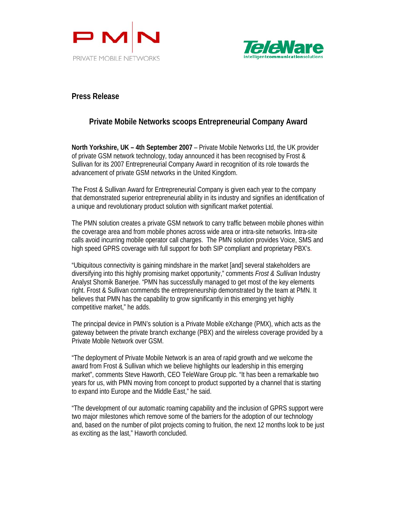



## **Press Release**

## **Private Mobile Networks scoops Entrepreneurial Company Award**

**North Yorkshire, UK – 4th September 2007** – Private Mobile Networks Ltd, the UK provider of private GSM network technology, today announced it has been recognised by Frost & Sullivan for its 2007 Entrepreneurial Company Award in recognition of its role towards the advancement of private GSM networks in the United Kingdom.

The Frost & Sullivan Award for Entrepreneurial Company is given each year to the company that demonstrated superior entrepreneurial ability in its industry and signifies an identification of a unique and revolutionary product solution with significant market potential.

The PMN solution creates a private GSM network to carry traffic between mobile phones within the coverage area and from mobile phones across wide area or intra-site networks. Intra-site calls avoid incurring mobile operator call charges. The PMN solution provides Voice, SMS and high speed GPRS coverage with full support for both SIP compliant and proprietary PBX's.

"Ubiquitous connectivity is gaining mindshare in the market [and] several stakeholders are diversifying into this highly promising market opportunity," comments *Frost & Sullivan* Industry Analyst Shomik Banerjee. "PMN has successfully managed to get most of the key elements right. Frost & Sullivan commends the entrepreneurship demonstrated by the team at PMN. It believes that PMN has the capability to grow significantly in this emerging yet highly competitive market," he adds.

The principal device in PMN's solution is a Private Mobile eXchange (PMX), which acts as the gateway between the private branch exchange (PBX) and the wireless coverage provided by a Private Mobile Network over GSM.

"The deployment of Private Mobile Network is an area of rapid growth and we welcome the award from Frost & Sullivan which we believe highlights our leadership in this emerging market", comments Steve Haworth, CEO TeleWare Group plc. "It has been a remarkable two years for us, with PMN moving from concept to product supported by a channel that is starting to expand into Europe and the Middle East," he said.

"The development of our automatic roaming capability and the inclusion of GPRS support were two major milestones which remove some of the barriers for the adoption of our technology and, based on the number of pilot projects coming to fruition, the next 12 months look to be just as exciting as the last," Haworth concluded.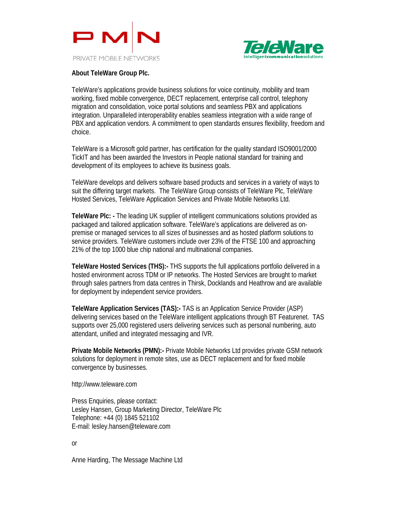



## **About TeleWare Group Plc.**

TeleWare's applications provide business solutions for voice continuity, mobility and team working, fixed mobile convergence, DECT replacement, enterprise call control, telephony migration and consolidation, voice portal solutions and seamless PBX and applications integration. Unparalleled interoperability enables seamless integration with a wide range of PBX and application vendors. A commitment to open standards ensures flexibility, freedom and choice.

TeleWare is a Microsoft gold partner, has certification for the quality standard ISO9001/2000 TickIT and has been awarded the Investors in People national standard for training and development of its employees to achieve its business goals.

TeleWare develops and delivers software based products and services in a variety of ways to suit the differing target markets. The TeleWare Group consists of TeleWare Plc, TeleWare Hosted Services, TeleWare Application Services and Private Mobile Networks Ltd.

**TeleWare Plc: -** The leading UK supplier of intelligent communications solutions provided as packaged and tailored application software. TeleWare's applications are delivered as onpremise or managed services to all sizes of businesses and as hosted platform solutions to service providers. TeleWare customers include over 23% of the FTSE 100 and approaching 21% of the top 1000 blue chip national and multinational companies.

**TeleWare Hosted Services (THS):-** THS supports the full applications portfolio delivered in a hosted environment across TDM or IP networks. The Hosted Services are brought to market through sales partners from data centres in Thirsk, Docklands and Heathrow and are available for deployment by independent service providers.

**TeleWare Application Services (TAS):-** TAS is an Application Service Provider (ASP) delivering services based on the TeleWare intelligent applications through BT Featurenet. TAS supports over 25,000 registered users delivering services such as personal numbering, auto attendant, unified and integrated messaging and IVR.

**Private Mobile Networks (PMN):-** Private Mobile Networks Ltd provides private GSM network solutions for deployment in remote sites, use as DECT replacement and for fixed mobile convergence by businesses.

http://www.teleware.com

Press Enquiries, please contact: Lesley Hansen, Group Marketing Director, TeleWare Plc Telephone: +44 (0) 1845 521102 E-mail: lesley.hansen@teleware.com

or

Anne Harding, The Message Machine Ltd